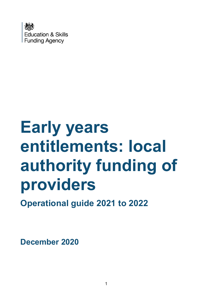

# **Early years entitlements: local authority funding of providers**

**Operational guide 2021 to 2022**

**December 2020**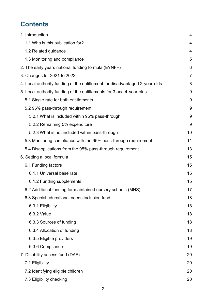# **Contents**

| 1. Introduction                                                             | 4              |  |  |  |
|-----------------------------------------------------------------------------|----------------|--|--|--|
| 1.1 Who is this publication for?                                            | 4              |  |  |  |
| 1.2 Related guidance                                                        | 4              |  |  |  |
| 1.3 Monitoring and compliance                                               | 5              |  |  |  |
| 2. The early years national funding formula (EYNFF)                         | 6              |  |  |  |
| 3. Changes for 2021 to 2022                                                 | $\overline{7}$ |  |  |  |
| 4. Local authority funding of the entitlement for disadvantaged 2-year-olds | 8              |  |  |  |
| 5. Local authority funding of the entitlements for 3 and 4-year-olds        |                |  |  |  |
| 5.1 Single rate for both entitlements                                       | 9              |  |  |  |
| 5.2 95% pass-through requirement                                            | 9              |  |  |  |
| 5.2.1 What is included within 95% pass-through                              | 9              |  |  |  |
| 5.2.2 Remaining 5% expenditure                                              | 9              |  |  |  |
| 5.2.3 What is not included within pass-through                              | 10             |  |  |  |
| 5.3 Monitoring compliance with the 95% pass-through requirement             | 11             |  |  |  |
| 5.4 Disapplications from the 95% pass-through requirement                   | 13             |  |  |  |
| 6. Setting a local formula                                                  |                |  |  |  |
| 6.1 Funding factors                                                         | 15             |  |  |  |
| 6.1.1 Universal base rate                                                   | 15             |  |  |  |
| 6.1.2 Funding supplements                                                   | 15             |  |  |  |
| 6.2 Additional funding for maintained nursery schools (MNS)                 |                |  |  |  |
| 6.3 Special educational needs inclusion fund                                | 18             |  |  |  |
| 6.3.1 Eligibility                                                           | 18             |  |  |  |
| 6.3.2 Value                                                                 | 18             |  |  |  |
| 6.3.3 Sources of funding                                                    | 18             |  |  |  |
| 6.3.4 Allocation of funding                                                 | 18             |  |  |  |
| 6.3.5 Eligible providers                                                    | 19             |  |  |  |
| 6.3.6 Compliance                                                            | 19             |  |  |  |
| 7. Disability access fund (DAF)                                             | 20             |  |  |  |
| 7.1 Eligibility                                                             | 20             |  |  |  |
| 7.2 Identifying eligible children                                           | 20             |  |  |  |
| 7.3 Eligibility checking                                                    | 20             |  |  |  |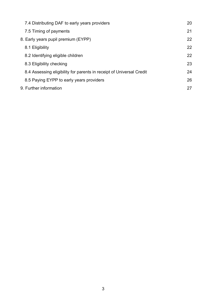| 7.4 Distributing DAF to early years providers                        | 20 |
|----------------------------------------------------------------------|----|
| 7.5 Timing of payments                                               | 21 |
| 8. Early years pupil premium (EYPP)                                  | 22 |
| 8.1 Eligibility                                                      | 22 |
| 8.2 Identifying eligible children                                    | 22 |
| 8.3 Eligibility checking                                             | 23 |
| 8.4 Assessing eligibility for parents in receipt of Universal Credit | 24 |
| 8.5 Paying EYPP to early years providers                             | 26 |
| 9. Further information                                               | 27 |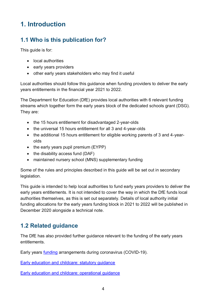# <span id="page-3-0"></span>**1. Introduction**

## <span id="page-3-1"></span>**1.1 Who is this publication for?**

This guide is for:

- local authorities
- early years providers
- other early years stakeholders who may find it useful

Local authorities should follow this guidance when funding providers to deliver the early years entitlements in the financial year 2021 to 2022.

The Department for Education (DfE) provides local authorities with 6 relevant funding streams which together form the early years block of the dedicated schools grant (DSG). They are:

- the 15 hours entitlement for disadvantaged 2-year-olds
- the universal 15 hours entitlement for all 3 and 4-year-olds
- the additional 15 hours entitlement for eligible working parents of 3 and 4-yearolds
- $\bullet$  the early years pupil premium (EYPP)
- $\bullet$  the disability access fund (DAF)
- maintained nursery school (MNS) supplementary funding

Some of the rules and principles described in this guide will be set out in secondary legislation.

This guide is intended to help local authorities to fund early years providers to deliver the early years entitlements. It is not intended to cover the way in which the DfE funds local authorities themselves, as this is set out separately. Details of local authority initial funding allocations for the early years funding block in 2021 to 2022 will be published in December 2020 alongside a technical note.

## <span id="page-3-2"></span>**1.2 Related guidance**

The DfE has also provided further guidance relevant to the funding of the early years entitlements.

Early years [funding](https://www.gov.uk/government/publications/use-of-free-early-education-entitlements-funding-during-the-coronavirus-outbreak/use-of-free-early-education-entitlements-funding-during-coronavirus-covid-19) arrangements during coronavirus (COVID-19).

[Early education and childcare: statutory guidance](https://www.gov.uk/government/publications/early-education-and-childcare--2)

[Early education and childcare: operational guidance](https://www.gov.uk/government/publications/30-hours-free-childcare-la-and-early-years-provider-guide)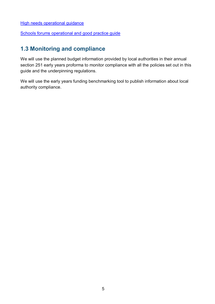[High needs operational guidance](https://www.gov.uk/government/publications/high-needs-funding-arrangements-2021-to-2022)

[Schools forums operational and good practice guide](https://www.gov.uk/government/publications/schools-forums-operational-and-good-practice-guide-2015)

## <span id="page-4-0"></span>**1.3 Monitoring and compliance**

We will use the planned budget information provided by local authorities in their annual section 251 early years proforma to monitor compliance with all the policies set out in this guide and the underpinning regulations.

We will use the early years funding benchmarking tool to publish information about local authority compliance.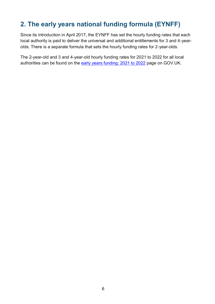# <span id="page-5-0"></span>**2. The early years national funding formula (EYNFF)**

Since its introduction in April 2017, the EYNFF has set the hourly funding rates that each local authority is paid to deliver the universal and additional entitlements for 3 and 4-yearolds. There is a separate formula that sets the hourly funding rates for 2-year-olds.

The 2-year-old and 3 and 4-year-old hourly funding rates for 2021 to 2022 for all local authorities can be found on the [early years funding: 2021 to 2022](https://www.gov.uk/government/publications/early-years-funding-2021-2022) page on GOV.UK.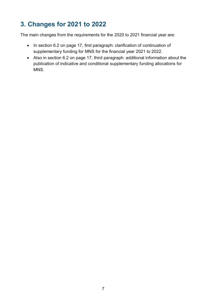# <span id="page-6-0"></span>**3. Changes for 2021 to 2022**

The main changes from the requirements for the 2020 to 2021 financial year are:

- In section 6.2 on page 17, first paragraph: clarification of continuation of supplementary funding for MNS for the financial year 2021 to 2022.
- Also in section 6.2 on page 17, third paragraph: additional information about the publication of indicative and conditional supplementary funding allocations for MNS.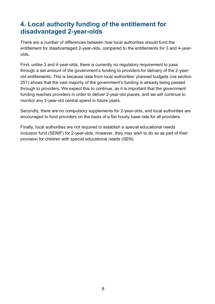## <span id="page-7-0"></span>**4. Local authority funding of the entitlement for disadvantaged 2-year-olds**

There are a number of differences between how local authorities should fund the entitlement for disadvantaged 2-year-olds, compared to the entitlements for 3 and 4-yearolds.

First, unlike 3 and 4-year-olds, there is currently no regulatory requirement to pass through a set amount of the government's funding to providers for delivery of the 2-yearold entitlements. This is because data from local authorities' planned budgets (via section 251) shows that the vast majority of the government's funding is already being passed through to providers. We expect this to continue, as it is important that the government funding reaches providers in order to deliver 2-year-old places, and we will continue to monitor any 2-year-old central spend in future years.

Secondly, there are no compulsory supplements for 2-year-olds, and local authorities are encouraged to fund providers on the basis of a flat hourly base rate for all providers.

Finally, local authorities are not required to establish a special educational needs inclusion fund (SENIF) for 2-year-olds. However, they may wish to do so as part of their provision for children with special educational needs (SEN).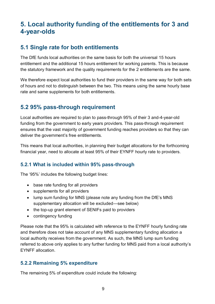# <span id="page-8-0"></span>**5. Local authority funding of the entitlements for 3 and 4-year-olds**

## <span id="page-8-1"></span>**5.1 Single rate for both entitlements**

The DfE funds local authorities on the same basis for both the universal 15 hours entitlement and the additional 15 hours entitlement for working parents. This is because the statutory framework and the quality requirements for the 2 entitlements are the same.

We therefore expect local authorities to fund their providers in the same way for both sets of hours and not to distinguish between the two. This means using the same hourly base rate and same supplements for both entitlements.

## <span id="page-8-2"></span>**5.2 95% pass-through requirement**

Local authorities are required to plan to pass-through 95% of their 3 and-4-year-old funding from the government to early years providers. This pass-through requirement ensures that the vast majority of government funding reaches providers so that they can deliver the government's free entitlements.

This means that local authorities, in planning their budget allocations for the forthcoming financial year, need to allocate at least 95% of their EYNFF hourly rate to providers.

#### <span id="page-8-3"></span>**5.2.1 What is included within 95% pass-through**

The '95%' includes the following budget lines:

- base rate funding for all providers
- supplements for all providers
- lump sum funding for MNS (please note any funding from the DfE's MNS supplementary allocation will be excluded—see below)
- the top-up grant element of SENIFs paid to providers
- contingency funding

Please note that the 95% is calculated with reference to the EYNFF hourly funding rate and therefore does not take account of any MNS supplementary funding allocation a local authority receives from the government. As such, the MNS lump sum funding referred to above only applies to any further funding for MNS paid from a local authority's EYNFF allocation.

#### <span id="page-8-4"></span>**5.2.2 Remaining 5% expenditure**

The remaining 5% of expenditure could include the following: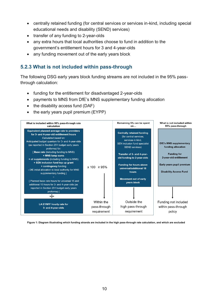- centrally retained funding (for central services or services in-kind, including special educational needs and disability (SEND) services)
- transfer of any funding to 2-year-olds
- any extra hours that local authorities choose to fund in addition to the government's entitlement hours for 3 and 4-year-olds
- any funding movement out of the early years block

#### <span id="page-9-0"></span>**5.2.3 What is not included within pass-through**

The following DSG early years block funding streams are not included in the 95% passthrough calculation:

- funding for the entitlement for disadvantaged 2-year-olds
- payments to MNS from DfE's MNS supplementary funding allocation
- $\bullet$  the disability access fund (DAF)
- $\bullet$  the early years pupil premium (EYPP)



**Figure 1: Diagram illustrating which funding strands are included in the high pass-through rate calculation, and which are excluded**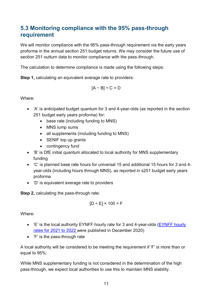## <span id="page-10-0"></span>**5.3 Monitoring compliance with the 95% pass-through requirement**

We will monitor compliance with the 95% pass-through requirement via the early years proforma in the annual section 251 budget returns. We may consider the future use of section 251 outturn data to monitor compliance with the pass-through.

The calculation to determine compliance is made using the following steps:

**Step 1, calculating an equivalent average rate to providers:** 

$$
[A - B] \div C = D
$$

Where:

- 'A' is anticipated budget quantum for 3 and 4-year-olds (as reported in the section 251 budget early years proforma) for:
	- base rate (including funding to MNS)
	- MNS lump sums
	- all supplements (including funding to MNS)
	- SENIF top up grants
	- contingency fund
- 'B' is DfE initial quantum allocated to local authority for MNS supplementary funding
- 'C' is planned base rate hours for universal 15 and additional 15 hours for 3 and 4 year-olds (including hours through MNS), as reported in s251 budget early years proforma
- 'D' is equivalent average rate to providers

**Step 2,** calculating the pass-through rate:

$$
[D \div E] \times 100 = F
$$

Where:

- 'E' is the local authority EYNFF hourly rate for 3 and 4-year-olds [\(EYNFF hourly](https://www.gov.uk/government/publications/early-years-funding-2021-2022)  [rates for 2021](https://www.gov.uk/government/publications/early-years-funding-2021-2022) to 2022 were published in December 2020)
- 'F' is the pass-through rate

A local authority will be considered to be meeting the requirement if 'F' is more than or equal to 95%:

While MNS supplementary funding is not considered in the determination of the high pass-through, we expect local authorities to use this to maintain MNS stability.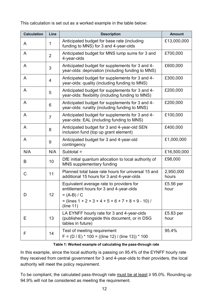This calculation is set out as a worked example in the table below:

| <b>Calculation</b> | Line           | <b>Description</b>                                                                                                                                                        | <b>Amount</b>      |
|--------------------|----------------|---------------------------------------------------------------------------------------------------------------------------------------------------------------------------|--------------------|
| A                  | 1              | Anticipated budget for base rate (including<br>funding to MNS) for 3 and 4-year-olds                                                                                      | £13,000,000        |
| A                  | $\overline{2}$ | Anticipated budget for MNS lump sums for 3 and<br>4-year-olds                                                                                                             | £700,000           |
| A                  | 3              | Anticipated budget for supplements for 3 and 4-<br>year-olds: deprivation (including funding to MNS)                                                                      | £600,000           |
| A                  | 4              | Anticipated budget for supplements for 3 and 4-<br>year-olds: quality (including funding to MNS)                                                                          | £300,000           |
| A                  | 5              | Anticipated budget for supplements for 3 and 4-<br>year-olds: flexibility (including funding to MNS)                                                                      | £200,000           |
| A                  | 6              | Anticipated budget for supplements for 3 and 4-<br>year-olds: rurality (including funding to MNS)                                                                         | £200,000           |
| A                  | $\overline{7}$ | Anticipated budget for supplements for 3 and 4-<br>year-olds: EAL (including funding to MNS)                                                                              | £100,000           |
| A                  | 8              | Anticipated budget for 3 and 4-year-old SEN<br>inclusion fund (top up grant element)                                                                                      | £400,000           |
| A                  | 9              | Anticipated budget for 3 and 4-year-old<br>contingency                                                                                                                    | £1,000,000         |
| N/A                | N/A            | Subtotal =                                                                                                                                                                | £16,500,000        |
| B                  | 10             | DfE initial quantum allocation to local authority of<br>MNS supplementary funding                                                                                         | £98,000            |
| C                  | 11             | Planned total base rate hours for universal 15 and<br>additional 15 hours for 3 and 4-year-olds                                                                           | 2,950,000<br>hours |
| D                  | 12             | Equivalent average rate to providers for<br>entitlement hours for 3 and 4-year-olds<br>$= (A-B) / C$<br>$=$ (lines 1 + 2 + 3 + 4 + 5 + 6 + 7 + 8 + 9 - 10) /<br>(line 11) | £5.56 per<br>hour  |
| Е                  | 13             | LA EYNFF hourly rate for 3 and 4-year-olds<br>(published alongside this document, or in DSG<br>tables in future)                                                          | £5.83 per<br>hour  |
| F                  | 14             | Test of meeting requirement<br>$F = (D / E) * 100 = ((line 12) / (line 13)) * 100$                                                                                        | 95.4%              |

#### **Table 1: Worked example of calculating the pass-through rate**

In this example, since the local authority is passing on 95.4% of the EYNFF hourly rate they received from central government for 3 and 4-year-olds to their providers, the local authority will meet the policy requirement.

To be compliant, the calculated pass-through rate must be at least  $\geq$  95.0%. Rounding up 94.9% will not be considered as meeting the requirement.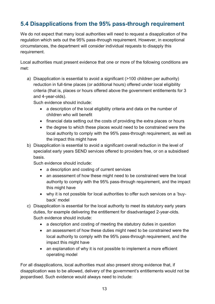## <span id="page-12-0"></span>**5.4 Disapplications from the 95% pass-through requirement**

We do not expect that many local authorities will need to request a disapplication of the regulation which sets out the 95% pass-through requirement. However, in exceptional circumstances, the department will consider individual requests to disapply this requirement.

Local authorities must present evidence that one or more of the following conditions are met:

a) Disapplication is essential to avoid a significant (>100 children per authority) reduction in full-time places (or additional hours) offered under local eligibility criteria (that is, places or hours offered above the government entitlements for 3 and 4-year-olds).

Such evidence should include:

- a description of the local eligibility criteria and data on the number of children who will benefit
- financial data setting out the costs of providing the extra places or hours
- the degree to which these places would need to be constrained were the local authority to comply with the 95% pass-through requirement, as well as the impact this might have
- b) Disapplication is essential to avoid a significant overall reduction in the level of specialist early years SEND services offered to providers free, or on a subsidised basis.

Such evidence should include:

- a description and costing of current services
- an assessment of how these might need to be constrained were the local authority to comply with the 95% pass-through requirement, and the impact this might have
- why it is not possible for local authorities to offer such services on a 'buyback' model
- c) Disapplication is essential for the local authority to meet its statutory early years duties, for example delivering the entitlement for disadvantaged 2-year-olds. Such evidence should include:
	- a description and costing of meeting the statutory duties in question
	- an assessment of how these duties might need to be constrained were the local authority to comply with the 95% pass-through requirement, and the impact this might have
	- an explanation of why it is not possible to implement a more efficient operating model

For all disapplications, local authorities must also present strong evidence that, if disapplication was to be allowed, delivery of the government's entitlements would not be jeopardised. Such evidence would always need to include: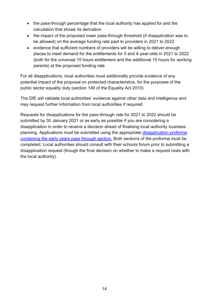- the pass-through percentage that the local authority has applied for and the calculation that shows its derivation
- the impact of the proposed lower pass-through threshold (if disapplication was to be allowed) on the average funding rate paid to providers in 2021 to 2022
- evidence that sufficient numbers of providers will be willing to deliver enough places to meet demand for the entitlements for 3 and 4-year-olds in 2021 to 2022 (both for the universal 15 hours entitlement and the additional 15 hours for working parents) at the proposed funding rate

For all disapplications, local authorities must additionally provide evidence of any potential impact of the proposal on protected characteristics, for the purposes of the public sector equality duty (section 149 of the Equality Act 2010).

The DfE will validate local authorities' evidence against other data and intelligence and may request further information from local authorities if required.

Requests for disapplications for the pass-through rate for 2021 to 2022 should be submitted by 30 January 2021 or as early as possible if you are considering a disapplication in order to receive a decision ahead of finalising local authority business planning. Applications must be submitted using the appropriate [disapplication proforma](https://www.gov.uk/government/publications/pre-16-schools-funding-local-authority-guidance-for-2021-to-2022) [containing the early years pass through](https://www.gov.uk/government/publications/pre-16-schools-funding-local-authority-guidance-for-2021-to-2022) section. Both sections of the proforma must be completed. Local authorities should consult with their schools forum prior to submitting a disapplication request (though the final decision on whether to make a request rests with the local authority).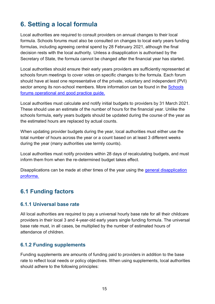# <span id="page-14-0"></span>**6. Setting a local formula**

Local authorities are required to consult providers on annual changes to their local formula. Schools forums must also be consulted on changes to local early years funding formulas, including agreeing central spend by 28 February 2021, although the final decision rests with the local authority. Unless a disapplication is authorised by the Secretary of State, the formula cannot be changed after the financial year has started.

Local authorities should ensure their early years providers are sufficiently represented at schools forum meetings to cover votes on specific changes to the formula. Each forum should have at least one representative of the private, voluntary and independent (PVI) sector among its non-school members. More information can be found in the Schools [forums operational and good practice guide.](https://www.gov.uk/government/publications/schools-forums-operational-and-good-practice-guide-2015)

Local authorities must calculate and notify initial budgets to providers by 31 March 2021. These should use an estimate of the number of hours for the financial year. Unlike the schools formula, early years budgets should be updated during the course of the year as the estimated hours are replaced by actual counts.

When updating provider budgets during the year, local authorities must either use the total number of hours across the year or a count based on at least 3 different weeks during the year (many authorities use termly counts).

Local authorities must notify providers within 28 days of recalculating budgets, and must inform them from when the re-determined budget takes effect.

Disapplications can be made at other times of the year using the general disapplication [proforma.](https://www.gov.uk/government/publications/pre-16-schools-funding-local-authority-guidance-for-2021-to-2022)

## <span id="page-14-1"></span>**6.1 Funding factors**

#### <span id="page-14-2"></span>**6.1.1 Universal base rate**

All local authorities are required to pay a universal hourly base rate for all their childcare providers in their local 3 and 4-year-old early years single funding formula. The universal base rate must, in all cases, be multiplied by the number of estimated hours of attendance of children.

#### <span id="page-14-3"></span>**6.1.2 Funding supplements**

Funding supplements are amounts of funding paid to providers in addition to the base rate to reflect local needs or policy objectives. When using supplements, local authorities should adhere to the following principles: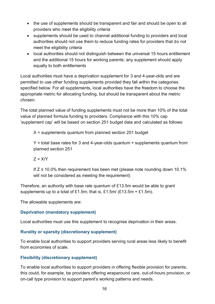- the use of supplements should be transparent and fair and should be open to all providers who meet the eligibility criteria
- supplements should be used to channel additional funding to providers and local authorities should not use them to reduce funding rates for providers that do not meet the eligibility criteria
- local authorities should not distinguish between the universal 15 hours entitlement and the additional 15 hours for working parents; any supplement should apply equally to both entitlements

Local authorities must have a deprivation supplement for 3 and 4-year-olds and are permitted to use other funding supplements provided they fall within the categories specified below. For all supplements, local authorities have the freedom to choose the appropriate metric for allocating funding, but should be transparent about the metric chosen.

The total planned value of funding supplements must not be more than 10% of the total value of planned formula funding to providers. Compliance with this 10% cap 'supplement cap' will be based on section 251 budget data and calculated as follows:

 $X =$  supplements quantum from planned section 251 budget

 $Y =$  total base rates for 3 and 4-year-olds quantum + supplements quantum from planned section 251

 $Z = X/Y$ 

If  $Z \le 10.0\%$  then requirement has been met (please note rounding down 10.1% will not be considered as meeting the requirement)

Therefore, an authority with base rate quantum of £13.5m would be able to grant supplements up to a total of £1.5m; that is, £1.5m/ (£13.5m + £1.5m).

The allowable supplements are:

#### **Deprivation (mandatory supplement)**

Local authorities must use this supplement to recognise deprivation in their areas.

#### **Rurality or sparsity (discretionary supplement)**

To enable local authorities to support providers serving rural areas less likely to benefit from economies of scale.

#### **Flexibility (discretionary supplement)**

To enable local authorities to support providers in offering flexible provision for parents; this could, for example, be providers offering wraparound care, out-of-hours provision, or on-call type provision to support parent's working patterns and needs.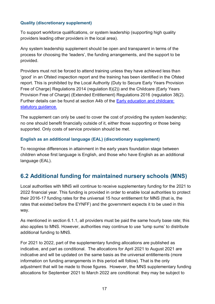#### **Quality (discretionary supplement)**

To support workforce qualifications, or system leadership (supporting high quality providers leading other providers in the local area).

Any system leadership supplement should be open and transparent in terms of the process for choosing the 'leaders', the funding arrangements, and the support to be provided.

Providers must not be forced to attend training unless they have achieved less than 'good' in an Ofsted inspection report and the training has been identified in the Ofsted report. This is prohibited [by the Local Authority \(Duty to Secure Early Years Provision](http://www.legislation.gov.uk/uksi/2014/2147/contents/made)  [Free of Charge\) Regulations 2014](http://www.legislation.gov.uk/uksi/2014/2147/contents/made) (regulation 8)(2)) and [the Childcare \(Early Years](http://www.legislation.gov.uk/uksi/2016/1257/contents/made)  [Provision Free of Charge\) \(Extended Entitlement\) Regulations 2016](http://www.legislation.gov.uk/uksi/2016/1257/contents/made) (regulation 38(2). Further details can be found at section A4b of the [Early education and childcare:](https://www.gov.uk/government/publications/early-education-and-childcare--2)  [statutory guidance.](https://www.gov.uk/government/publications/early-education-and-childcare--2)

The supplement can only be used to cover the cost of providing the system leadership; no one should benefit financially outside of it, either those supporting or those being supported. Only costs of service provision should be met.

#### **English as an additional language (EAL) (discretionary supplement)**

To recognise differences in attainment in the early years foundation stage between children whose first language is English, and those who have English as an additional language (EAL).

## <span id="page-16-0"></span>**6.2 Additional funding for maintained nursery schools (MNS)**

Local authorities with MNS will continue to receive supplementary funding for the 2021 to 2022 financial year. This funding is provided in order to enable local authorities to protect their 2016-17 funding rates for the universal 15 hour entitlement for MNS (that is, the rates that existed before the EYNFF) and the government expects it to be used in this way.

As mentioned in section 6.1.1, all providers must be paid the same hourly base rate; this also applies to MNS. However, authorities may continue to use 'lump sums' to distribute additional funding to MNS.

For 2021 to 2022, part of the supplementary funding allocations are published as indicative, and part as conditional. The allocations for April 2021 to August 2021 are indicative and will be updated on the same basis as the universal entitlements (more information on funding arrangements in this period will follow). That is the only adjustment that will be made to those figures. However, the MNS supplementary funding allocations for September 2021 to March 2022 are conditional: they may be subject to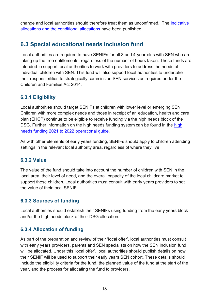change and local authorities should therefore treat them as unconfirmed. The [indicative](https://www.gov.uk/government/publications/early-years-funding-2021-2022)  [allocations and the conditional allocations](https://www.gov.uk/government/publications/early-years-funding-2021-2022) have been published.

## <span id="page-17-0"></span>**6.3 Special educational needs inclusion fund**

Local authorities are required to have SENIFs for all 3 and 4-year-olds with SEN who are taking up the free entitlements, regardless of the number of hours taken. These funds are intended to support local authorities to work with providers to address the needs of individual children with SEN. This fund will also support local authorities to undertake their responsibilities to strategically commission SEN services as required under the Children and Families Act 2014.

#### <span id="page-17-1"></span>**6.3.1 Eligibility**

Local authorities should target SENIFs at children with lower level or emerging SEN. Children with more complex needs and those in receipt of an education, health and care plan (EHCP) continue to be eligible to receive funding via the high needs block of the DSG. Further information on the [high](https://www.gov.uk/government/publications/high-needs-funding-arrangements-2021-to-2022) needs funding system can be found in the high [needs funding 2021 to 2022 operational guide.](https://www.gov.uk/government/publications/high-needs-funding-arrangements-2021-to-2022)

As with other elements of early years funding, SENIFs should apply to children attending settings in the relevant local authority area, regardless of where they live.

#### <span id="page-17-2"></span>**6.3.2 Value**

The value of the fund should take into account the number of children with SEN in the local area, their level of need, and the overall capacity of the local childcare market to support these children. Local authorities must consult with early years providers to set the value of their local SENIF.

#### <span id="page-17-3"></span>**6.3.3 Sources of funding**

Local authorities should establish their SENIFs using funding from the early years block and/or the high needs block of their DSG allocation.

#### <span id="page-17-4"></span>**6.3.4 Allocation of funding**

As part of the preparation and review of their 'local offer', local authorities must consult with early years providers, parents and SEN specialists on how the SEN inclusion fund will be allocated. Under this 'local offer', local authorities should publish details on how their SENIF will be used to support their early years SEN cohort. These details should include the eligibility criteria for the fund, the planned value of the fund at the start of the year, and the process for allocating the fund to providers.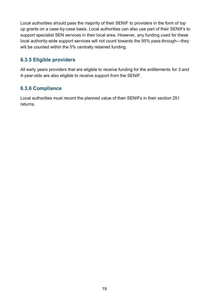Local authorities should pass the majority of their SENIF to providers in the form of top up grants on a case-by-case basis. Local authorities can also use part of their SENIFs to support specialist SEN services in their local area. However, any funding used for these local authority-wide support services will not count towards the 95% pass-through—they will be counted within the 5% centrally retained funding.

#### <span id="page-18-0"></span>**6.3.5 Eligible providers**

All early years providers that are eligible to receive funding for the entitlements for 3 and 4-year-olds are also eligible to receive support from the SENIF.

#### <span id="page-18-1"></span>**6.3.6 Compliance**

Local authorities must record the planned value of their SENIFs in their section 251 returns.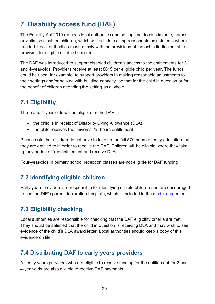# <span id="page-19-0"></span>**7. Disability access fund (DAF)**

The Equality Act 2010 requires local authorities and settings not to discriminate, harass or victimise disabled children, which will include making reasonable adjustments where needed. Local authorities must comply with the provisions of the act in finding suitable provision for eligible disabled children.

The DAF was introduced to support disabled children's access to the entitlements for 3 and 4-year-olds. Providers receive at least £615 per eligible child per year. The funds could be used, for example, to support providers in making reasonable adjustments to their settings and/or helping with building capacity, be that for the child in question or for the benefit of children attending the setting as a whole.

## <span id="page-19-1"></span>**7.1 Eligibility**

Three and 4-year-olds will be eligible for the DAF if:

- the child is in receipt of [Disability Living Allowance](https://www.gov.uk/disability-living-allowance-children) (DLA)
- the child receives the universal 15 hours entitlement

Please note that children do not have to take up the full 570 hours of early education that they are entitled to in order to receive the DAF. Children will be eligible where they take up any period of free entitlement and receive DLA.

Four-year-olds in primary school reception classes are not eligible for DAF funding.

### <span id="page-19-2"></span>**7.2 Identifying eligible children**

Early years providers are responsible for identifying eligible children and are encouraged to use the DfE's parent declaration template, which is included in the [model agreement.](https://www.gov.uk/government/publications/free-early-years-provision-and-childcare-model-agreement)

## <span id="page-19-3"></span>**7.3 Eligibility checking**

Local authorities are responsible for checking that the DAF eligibility criteria are met. They should be satisfied that the child in question is receiving DLA and may wish to see evidence of the child's DLA award letter. Local authorities should keep a copy of this evidence on file.

### <span id="page-19-4"></span>**7.4 Distributing DAF to early years providers**

All early years providers who are eligible to receive funding for the entitlement for 3 and 4-year-olds are also eligible to receive DAF payments.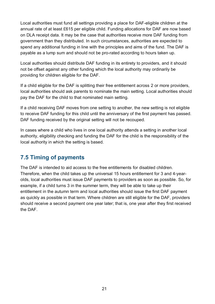Local authorities must fund all settings providing a place for DAF-eligible children at the annual rate of at least £615 per eligible child. Funding allocations for DAF are now based on DLA receipt data. It may be the case that authorities receive more DAF funding from government than they distributed. In such circumstances, authorities are expected to spend any additional funding in line with the principles and aims of the fund. The DAF is payable as a lump sum and should not be pro-rated according to hours taken up.

Local authorities should distribute DAF funding in its entirety to providers, and it should not be offset against any other funding which the local authority may ordinarily be providing for children eligible for the DAF.

If a child eligible for the DAF is splitting their free entitlement across 2 or more providers, local authorities should ask parents to nominate the main setting. Local authorities should pay the DAF for the child to that nominated main setting.

If a child receiving DAF moves from one setting to another, the new setting is not eligible to receive DAF funding for this child until the anniversary of the first payment has passed. DAF funding received by the original setting will not be recouped.

In cases where a child who lives in one local authority attends a setting in another local authority, eligibility checking and funding the DAF for the child is the responsibility of the local authority in which the setting is based.

## <span id="page-20-0"></span>**7.5 Timing of payments**

The DAF is intended to aid access to the free entitlements for disabled children. Therefore, when the child takes up the universal 15 hours entitlement for 3 and 4-yearolds, local authorities must issue DAF payments to providers as soon as possible. So, for example, if a child turns 3 in the summer term, they will be able to take up their entitlement in the autumn term and local authorities should issue the first DAF payment as quickly as possible in that term. Where children are still eligible for the DAF, providers should receive a second payment one year later; that is, one year after they first received the DAF.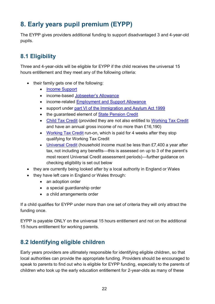# <span id="page-21-0"></span>**8. Early years pupil premium (EYPP)**

The EYPP gives providers additional funding to support disadvantaged 3 and 4-year-old pupils.

## <span id="page-21-1"></span>**8.1 Eligibility**

Three and 4-year-olds will be eligible for EYPP if the child receives the universal 15 hours entitlement and they meet any of the following criteria:

- their family gets one of the following:
	- [Income Support](https://www.gov.uk/income-support)
	- income-based [Jobseeker's Allowance](https://www.gov.uk/jobseekers-allowance)
	- income-related [Employment and Support Allowance](https://www.gov.uk/employment-support-allowance)
	- support under [part VI of the Immigration and Asylum Act 1999](http://www.legislation.gov.uk/ukpga/1999/33/part/VI)
	- the guaranteed element of [State Pension Credit](https://www.gov.uk/pension-credit/overview)
	- [Child Tax Credit](https://www.gov.uk/child-tax-credit/overview) (provided they are not also entitled to [Working Tax Credit](https://www.gov.uk/working-tax-credit) and have an annual gross income of no more than £16,190)
	- [Working Tax Credit](https://www.gov.uk/working-tax-credit) run-on, which is paid for 4 weeks after they stop qualifying for Working Tax Credit
	- [Universal Credit](https://www.gov.uk/universal-credit) (household income must be less than £7,400 a year after tax, not including any benefits—this is assessed on up to 3 of the parent's most recent Universal Credit assessment periods)—further guidance on checking eligibility is set out below
- they are currently being looked after by a local authority in England or Wales
- they have left care in England or Wales through:
	- an adoption order
	- a special guardianship order
	- a child arrangements order

If a child qualifies for EYPP under more than one set of criteria they will only attract the funding once.

EYPP is payable ONLY on the universal 15 hours entitlement and not on the additional 15 hours entitlement for working parents.

## <span id="page-21-2"></span>**8.2 Identifying eligible children**

Early years providers are ultimately responsible for identifying eligible children, so that local authorities can provide the appropriate funding. Providers should be encouraged to speak to parents to find out who is eligible for EYPP funding, especially to the parents of children who took up the [early education entitlement for 2-year-olds](https://www.gov.uk/free-early-education) as many of these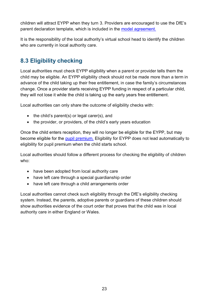children will attract EYPP when they turn 3. Providers are encouraged to use the DfE's parent declaration template, which is included in the [model agreement.](https://www.gov.uk/government/publications/free-early-years-provision-and-childcare-model-agreement)

It is the responsibility of the local authority's [virtual school head to identify the children](https://www.gov.uk/guidance/early-years-pupil-premium-guide-for-local-authorities#EYPP-looked-after-children)  [who are currently in local authority](https://www.gov.uk/guidance/early-years-pupil-premium-guide-for-local-authorities#EYPP-looked-after-children) care.

## <span id="page-22-0"></span>**8.3 Eligibility checking**

Local authorities must check EYPP eligibility when a parent or provider tells them the child may be eligible. An EYPP eligibility check should not be made more than a term in advance of the child taking up their free entitlement, in case the family's circumstances change. Once a provider starts receiving EYPP funding in respect of a particular child, they will not lose it while the child is taking up the early years free entitlement.

Local authorities can only share the outcome of eligibility checks with:

- $\bullet$  the child's parent(s) or legal carer(s), and
- the provider, or providers, of the child's early vears education

Once the child enters reception, they will no longer be eligible for the EYPP, but may become eligible for the [pupil premium.](https://www.gov.uk/guidance/pupil-premium-information-for-schools-and-alternative-provision-settings) Eligibility for EYPP does not lead automatically to eligibility for pupil premium when the child starts school.

Local authorities should follow a different process for checking the eligibility of children who:

- have been adopted from local authority care
- have left care through a special guardianship order
- have left care through a child arrangements order

Local authorities cannot check such eligibility through the DfE's eligibility checking system. Instead, the parents, adoptive parents or guardians of these children should show authorities evidence of the court order that proves that the child was in local authority care in either England or Wales.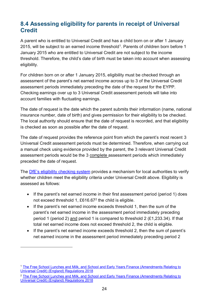## <span id="page-23-0"></span>**8.4 Assessing eligibility for parents in receipt of Universal Credit**

A parent who is entitled to Universal Credit and has a child born on or after 1 January 2015, will be subject to an earned income threshold<sup>1</sup>. Parents of children born before 1 January 2015 who are entitled to Universal Credit are not subject to the income threshold. Therefore, the child's date of birth must be taken into account when assessing eligibility.

For children born on or after 1 January 2015, eligibility must be checked through an assessment of the parent's net earned income across up to 3 of the Universal Credit assessment periods immediately preceding the date of the request for the EYPP. Checking earnings over up to 3 Universal Credit assessment periods will take into account families with fluctuating earnings.

The date of request is the date which the parent submits their information (name, national insurance number, date of birth) and gives permission for their eligibility to be checked. The local authority should ensure that the date of request is recorded, and that eligibility is checked as soon as possible after the date of request.

The date of request provides the reference point from which the parent's most recent 3 Universal Credit assessment periods must be determined. Therefore, when carrying out a manual check using evidence provided by the parent, the 3 relevant Universal Credit assessment periods would be the 3 complete assessment periods which immediately preceded the date of request.

The DfE's eligibility [checking system](https://fsm.education.gov.uk/fsm.laportal/) provides a mechanism for local authorities to verify whether children meet the eligibility criteria under Universal Credit above. Eligibility is assessed as follows:

- If the parent's net earned income in their first assessment period (period 1) does not exceed threshold 1, £616.67<sup>2</sup> the child is eligible.
- If the parent's net earned income exceeds threshold 1, then the sum of the parent's net earned income in the assessment period immediately preceding period 1 (period 2) and period 1 is compared to threshold 2 (£1,233.34). If that total net earned income does not exceed threshold 2, the child is eligible.
- If the parent's net earned income exceeds threshold 2, then the sum of parent's net earned income in the assessment period immediately preceding period 2

-

<sup>&</sup>lt;sup>1</sup> The Free School Lunches and Milk, and School and Early Years Finance (Amendments Relating to [Universal Credit\) \(England\) Regulations 2018](http://www.legislation.gov.uk/uksi/2018/148/contents/made)

<sup>&</sup>lt;sup>2</sup> The Free School Lunches and Milk, and School and Early Years Finance (Amendments Relating to [Universal Credit\) \(England\) Regulations 2018](http://www.legislation.gov.uk/uksi/2018/148/contents/made)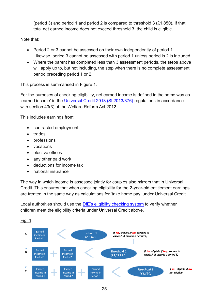(period 3) and period 1 and period 2 is compared to threshold 3  $(E1,850)$ . If that total net earned income does not exceed threshold 3, the child is eligible.

Note that:

- Period 2 or 3 cannot be assessed on their own independently of period 1. Likewise, period 3 cannot be assessed with period 1 unless period is 2 is included.
- Where the parent has completed less than 3 assessment periods, the steps above will apply up to, but not including, the step when there is no complete assessment period preceding period 1 or 2.

This process is summarised in Figure 1.

For the purposes of checking eligibility, net earned income is defined in the same way as 'earned income' in the [Universal Credit 2013 \(SI 2013/376\)](http://www.legislation.gov.uk/uksi/2013/376/regulation/52) regulations in accordance with section 43(3) of the Welfare Reform Act 2012.

This includes earnings from:

- contracted employment
- trades
- professions
- vocations
- elective offices
- any other paid work
- deductions for income tax
- national insurance

The way in which income is assessed jointly for couples also mirrors that in Universal Credit. This ensures that when checking eligibility for the 2-year-old entitlement earnings are treated in the same way as calculations for 'take home pay' under Universal Credit.

Local authorities should use the [DfE's eligibility checking system](https://fsm.education.gov.uk/fsm.laportal/) to verify whether children meet the eligibility criteria under Universal Credit above.

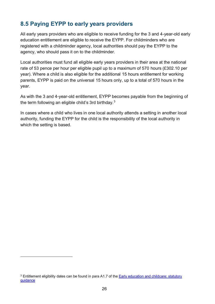## <span id="page-25-0"></span>**8.5 Paying EYPP to early years providers**

All early years providers who are eligible to receive funding for the 3 and 4-year-old early education entitlement are eligible to receive the EYPP. For childminders who are registered with a childminder agency, local authorities should pay the EYPP to the agency, who should pass it on to the childminder.

Local authorities must fund all eligible early years providers in their area at the national rate of 53 pence per hour per eligible pupil up to a maximum of 570 hours (£302.10 per year). Where a child is also eligible for the additional 15 hours entitlement for working parents, EYPP is paid on the universal 15 hours only, up to a total of 570 hours in the year.

As with the 3 and 4-year-old entitlement, EYPP becomes payable from the beginning of the term following an eligible child's 3rd birthday.<sup>3</sup>

In cases where a child who lives in one local authority attends a setting in another local authority, funding the EYPP for the child is the responsibility of the local authority in which the setting is based.

-

<sup>&</sup>lt;sup>3</sup> Entitlement eligibility dates can be found in para A1.7 of the **Early education and childcare: statutory** [guidance](https://www.gov.uk/government/publications/early-education-and-childcare--2)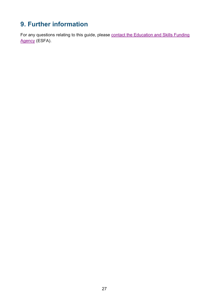# <span id="page-26-0"></span>**9. Further information**

For any questions relating to this guide, please contact the Education and Skills Funding [Agency](https://form.education.gov.uk/en/AchieveForms/?form_uri=sandbox-publish://AF-Process-f9f4f5a1-936f-448b-bbeb-9dcdd595f468/AF-Stage-8aa41278-3cdd-45a3-ad87-80cbffb8b992/definition.json&redirectlink=%2Fen&cancelRedirectLink=%2Fen&consentMessage=yes) (ESFA).